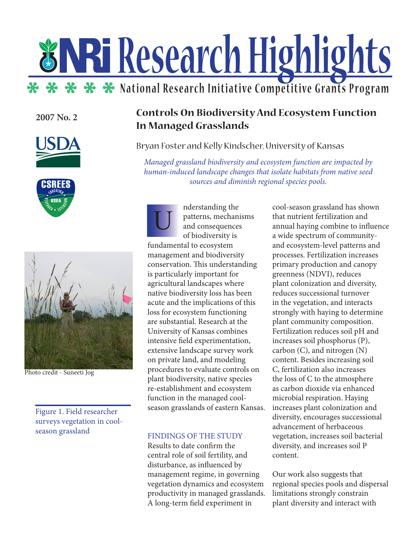# **Research Highlights \*\* \*\* \*** National Research Initiative Competitive Grants Program

**2007 No. 2**







Photo credit - Suneeti Jog

Figure 1. Field researcher surveys vegetation in coolseason grassland

# **Controls On Biodiversity And Ecosystem Function In Managed Grasslands**

Bryan Foster and Kelly Kindscher, University of Kansas

*Managed grassland biodiversity and ecosystem function are impacted by human-induced landscape changes that isolate habitats from native seed sources and diminish regional species pools.*

nderstanding the patterns, mechanisms and consequences of biodiversity is fundamental to ecosystem management and biodiversity conservation. This understanding is particularly important for agricultural landscapes where native biodiversity loss has been acute and the implications of this loss for ecosystem functioning are substantial. Research at the University of Kansas combines intensive field experimentation, extensive landscape survey work on private land, and modeling procedures to evaluate controls on plant biodiversity, native species re-establishment and ecosystem function in the managed coolseason grasslands of eastern Kansas. U

## FINDINGS OF THE STUDY

Results to date confirm the central role of soil fertility, and disturbance, as influenced by management regime, in governing vegetation dynamics and ecosystem productivity in managed grasslands. A long-term field experiment in

cool-season grassland has shown that nutrient fertilization and annual haying combine to influence a wide spectrum of communityand ecosystem-level patterns and processes. Fertilization increases primary production and canopy greenness (NDVI), reduces plant colonization and diversity, reduces successional turnover in the vegetation, and interacts strongly with haying to determine plant community composition. Fertilization reduces soil pH and increases soil phosphorus (P), carbon (C), and nitrogen (N) content. Besides increasing soil C, fertilization also increases the loss of C to the atmosphere as carbon dioxide via enhanced microbial respiration. Haying increases plant colonization and diversity, encourages successional advancement of herbaceous vegetation, increases soil bacterial diversity, and increases soil P content.

Our work also suggests that regional species pools and dispersal limitations strongly constrain plant diversity and interact with